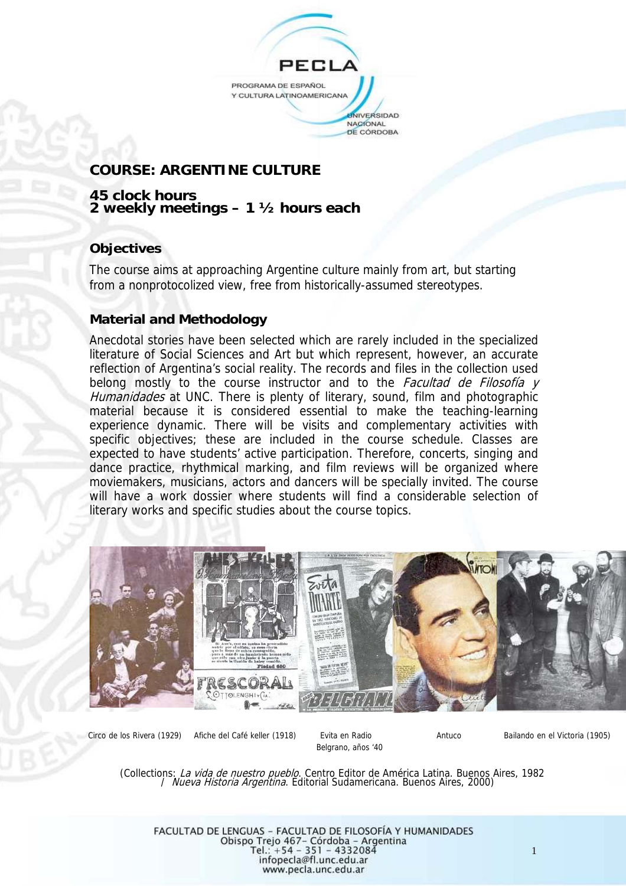

# **COURSE: ARGENTINE CULTURE**

### **45 clock hours 2 weekly meetings – 1 ½ hours each**

## **Objectives**

The course aims at approaching Argentine culture mainly from art, but starting from a nonprotocolized view, free from historically-assumed stereotypes.

## **Material and Methodology**

Anecdotal stories have been selected which are rarely included in the specialized literature of Social Sciences and Art but which represent, however, an accurate reflection of Argentina's social reality. The records and files in the collection used belong mostly to the course instructor and to the Facultad de Filosofía y Humanidades at UNC. There is plenty of literary, sound, film and photographic material because it is considered essential to make the teaching-learning experience dynamic. There will be visits and complementary activities with specific objectives; these are included in the course schedule. Classes are expected to have students' active participation. Therefore, concerts, singing and dance practice, rhythmical marking, and film reviews will be organized where moviemakers, musicians, actors and dancers will be specially invited. The course will have a work dossier where students will find a considerable selection of literary works and specific studies about the course topics.



Belgrano, años '40

Circo de los Rivera (1929) Afiche del Café keller (1918) Evita en Radio Antuco Bailando en el Victoria (1905)

(Collections: La vida de nuestro pueblo. Centro Editor de América Latina. Buenos Aires, 1982<br>/ Nueva Historia Argentina. Editorial Sudamericana. Buenos Aires, 2000)

FACULTAD DE LENGUAS - FACULTAD DE FILOSOFÍA Y HUMANIDADES Obispo Trejo 467 - Córdoba - Argentina<br>Tel.: +54 - 351 - 4332084 infopecla@fl.unc.edu.ar www.pecla.unc.edu.ar

1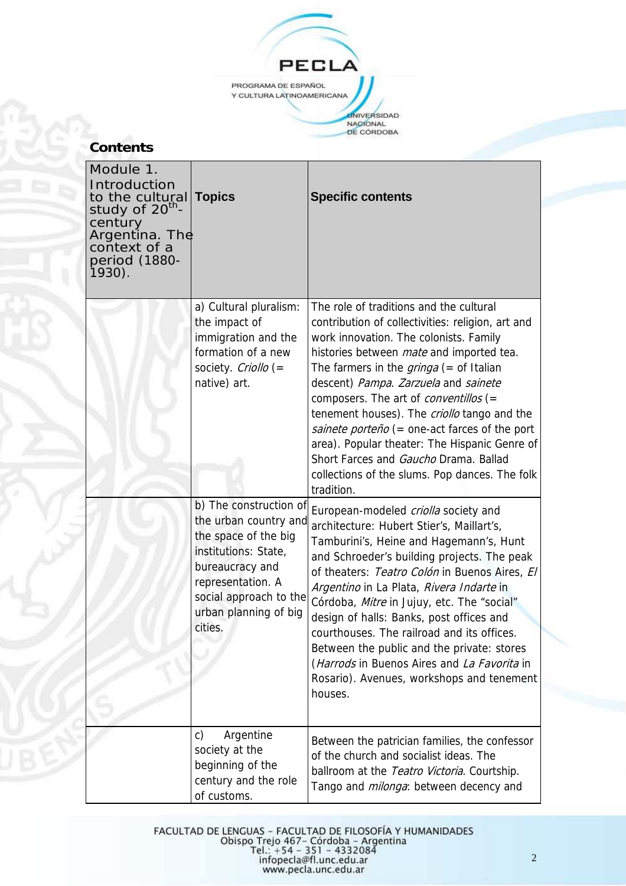

# **Contents**

| Module 1.<br>Introduction<br>to the cultural<br>study of 20 <sup>th</sup> -<br>century<br>Argentina. The<br>context of a<br>period (1880-<br>$1930$ ). | <b>Topics</b>                                                                                                                                                                                         | <b>Specific contents</b>                                                                                                                                                                                                                                                                                                                                                                                                                                                                                                                                                                 |
|--------------------------------------------------------------------------------------------------------------------------------------------------------|-------------------------------------------------------------------------------------------------------------------------------------------------------------------------------------------------------|------------------------------------------------------------------------------------------------------------------------------------------------------------------------------------------------------------------------------------------------------------------------------------------------------------------------------------------------------------------------------------------------------------------------------------------------------------------------------------------------------------------------------------------------------------------------------------------|
|                                                                                                                                                        | a) Cultural pluralism:<br>the impact of<br>immigration and the<br>formation of a new<br>society. Criollo $(=$<br>native) art.                                                                         | The role of traditions and the cultural<br>contribution of collectivities: religion, art and<br>work innovation. The colonists. Family<br>histories between <i>mate</i> and imported tea.<br>The farmers in the $gringa (=$ of Italian<br>descent) Pampa. Zarzuela and sainete<br>composers. The art of <i>conventillos</i> (=<br>tenement houses). The criollo tango and the<br>sainete porteño (= one-act farces of the port<br>area). Popular theater: The Hispanic Genre of<br>Short Farces and Gaucho Drama. Ballad<br>collections of the slums. Pop dances. The folk<br>tradition. |
|                                                                                                                                                        | b) The construction of<br>the urban country and<br>the space of the big<br>institutions: State,<br>bureaucracy and<br>representation. A<br>social approach to the<br>urban planning of big<br>cities. | European-modeled criolla society and<br>architecture: Hubert Stier's, Maillart's,<br>Tamburini's, Heine and Hagemann's, Hunt<br>and Schroeder's building projects. The peak<br>of theaters: Teatro Colón in Buenos Aires, El<br>Argentino in La Plata, Rivera Indarte in<br>Córdoba, Mitre in Jujuy, etc. The "social"<br>design of halls: Banks, post offices and<br>courthouses. The railroad and its offices.<br>Between the public and the private: stores<br>(Harrods in Buenos Aires and La Favorita in<br>Rosario). Avenues, workshops and tenement<br>houses.                    |
|                                                                                                                                                        | Argentine<br>C)<br>society at the<br>beginning of the<br>century and the role<br>of customs.                                                                                                          | Between the patrician families, the confessor<br>of the church and socialist ideas. The<br>ballroom at the Teatro Victoria. Courtship.<br>Tango and <i>milonga</i> : between decency and                                                                                                                                                                                                                                                                                                                                                                                                 |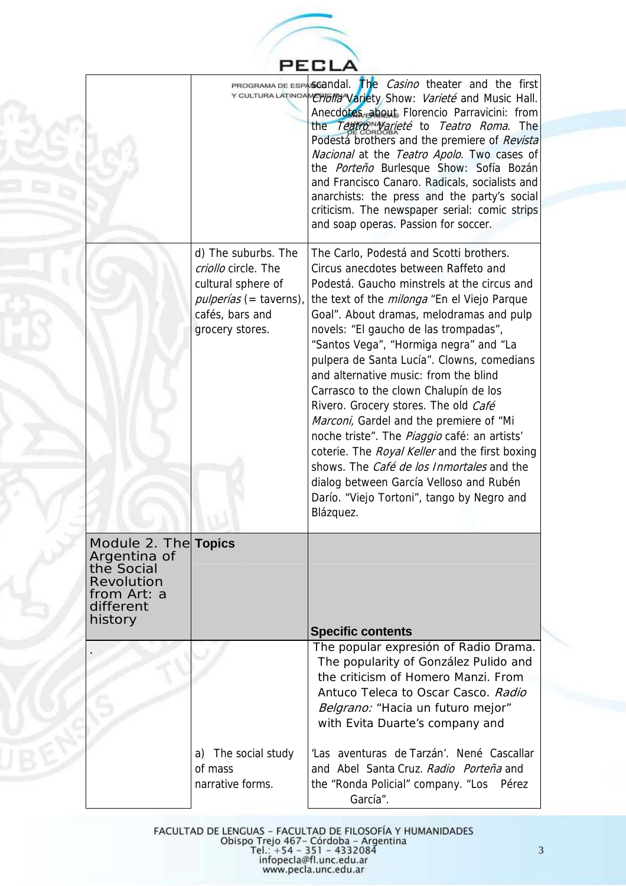

|                                                                                                          |                                                                                                                                         | <b>PROGRAMA DE ESPASGANDAL.</b> The <i>Casino</i> theater and the first<br>Y CULTURA LATINOAME MONTO Variety Show: Varieté and Music Hall.<br>Anecdotes, about Florencio Parravicini: from<br>the Teatro <sup>N</sup> Varieté to Teatro Roma. The<br>Podestá brothers and the premiere of Revista<br>Nacional at the Teatro Apolo. Two cases of<br>the Porteño Burlesque Show: Sofía Bozán<br>and Francisco Canaro. Radicals, socialists and<br>anarchists: the press and the party's social<br>criticism. The newspaper serial: comic strips<br>and soap operas. Passion for soccer.                                                                                                                                                                                                              |
|----------------------------------------------------------------------------------------------------------|-----------------------------------------------------------------------------------------------------------------------------------------|----------------------------------------------------------------------------------------------------------------------------------------------------------------------------------------------------------------------------------------------------------------------------------------------------------------------------------------------------------------------------------------------------------------------------------------------------------------------------------------------------------------------------------------------------------------------------------------------------------------------------------------------------------------------------------------------------------------------------------------------------------------------------------------------------|
|                                                                                                          | d) The suburbs. The<br>criollo circle. The<br>cultural sphere of<br><i>pulperías</i> (= taverns),<br>cafés, bars and<br>grocery stores. | The Carlo, Podestá and Scotti brothers.<br>Circus anecdotes between Raffeto and<br>Podestá. Gaucho minstrels at the circus and<br>the text of the <i>milonga</i> "En el Viejo Parque<br>Goal". About dramas, melodramas and pulp<br>novels: "El gaucho de las trompadas",<br>"Santos Vega", "Hormiga negra" and "La<br>pulpera de Santa Lucía". Clowns, comedians<br>and alternative music: from the blind<br>Carrasco to the clown Chalupín de los<br>Rivero. Grocery stores. The old Café<br>Marconi, Gardel and the premiere of "Mi<br>noche triste". The Piaggio café: an artists'<br>coterie. The Royal Keller and the first boxing<br>shows. The <i>Café de los Inmortales</i> and the<br>dialog between García Velloso and Rubén<br>Darío. "Viejo Tortoni", tango by Negro and<br>Blázquez. |
| Module 2. The <br>Argentina of<br>the Social<br><b>Revolution</b><br>from Art: a<br>different<br>history | <b>Topics</b>                                                                                                                           | <b>Specific contents</b>                                                                                                                                                                                                                                                                                                                                                                                                                                                                                                                                                                                                                                                                                                                                                                           |
|                                                                                                          |                                                                                                                                         | The popular expresión of Radio Drama.<br>The popularity of González Pulido and<br>the criticism of Homero Manzi. From<br>Antuco Teleca to Oscar Casco. Radio<br>Belgrano: "Hacia un futuro mejor"<br>with Evita Duarte's company and                                                                                                                                                                                                                                                                                                                                                                                                                                                                                                                                                               |
|                                                                                                          | a) The social study<br>of mass<br>narrative forms.                                                                                      | 'Las aventuras de Tarzán'. Nené Cascallar<br>and Abel Santa Cruz. Radio Porteña and<br>the "Ronda Policial" company. "Los Pérez<br>García".                                                                                                                                                                                                                                                                                                                                                                                                                                                                                                                                                                                                                                                        |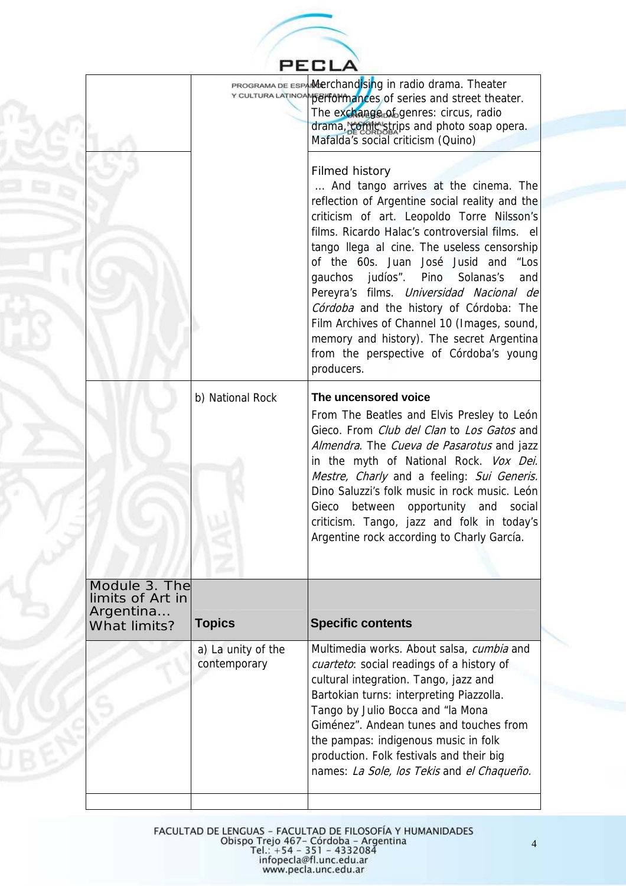|                                                                       |                                    | PECLA                                                                                                                                                                                                                                                                                                                                                                                                                                                                                                                                                                                                                                                                                                                                                                                                                                             |
|-----------------------------------------------------------------------|------------------------------------|---------------------------------------------------------------------------------------------------------------------------------------------------------------------------------------------------------------------------------------------------------------------------------------------------------------------------------------------------------------------------------------------------------------------------------------------------------------------------------------------------------------------------------------------------------------------------------------------------------------------------------------------------------------------------------------------------------------------------------------------------------------------------------------------------------------------------------------------------|
|                                                                       |                                    | PROGRAMA DE ESPAMMerchandising in radio drama. Theater<br>Y CULTURA LATINOAN BEITOTINIANCES of series and street theater.<br>The exchange of genres: circus, radio<br>drama, comic strips and photo soap opera.<br>Mafalda's social criticism (Quino)<br>Filmed history<br>And tango arrives at the cinema. The<br>reflection of Argentine social reality and the<br>criticism of art. Leopoldo Torre Nilsson's<br>films. Ricardo Halac's controversial films. el<br>tango Ilega al cine. The useless censorship<br>of the 60s. Juan José Jusid and "Los<br>gauchos judíos". Pino<br>Solanas's<br>and<br>Pereyra's films. Universidad Nacional de<br>Córdoba and the history of Córdoba: The<br>Film Archives of Channel 10 (Images, sound,<br>memory and history). The secret Argentina<br>from the perspective of Córdoba's young<br>producers. |
|                                                                       | b) National Rock                   | The uncensored voice<br>From The Beatles and Elvis Presley to León<br>Gieco. From Club del Clan to Los Gatos and<br>Almendra. The Cueva de Pasarotus and jazz<br>in the myth of National Rock. Vox Dei.<br>Mestre, Charly and a feeling: Sui Generis.<br>Dino Saluzzi's folk music in rock music. León<br>opportunity and<br>Gieco<br>between<br>social<br>criticism. Tango, jazz and folk in today's<br>Argentine rock according to Charly García.                                                                                                                                                                                                                                                                                                                                                                                               |
| Module 3. The<br>limits of Art in<br>Argentina<br><b>What limits?</b> | <b>Topics</b>                      | <b>Specific contents</b>                                                                                                                                                                                                                                                                                                                                                                                                                                                                                                                                                                                                                                                                                                                                                                                                                          |
|                                                                       | a) La unity of the<br>contemporary | Multimedia works. About salsa, cumbia and<br>cuarteto: social readings of a history of<br>cultural integration. Tango, jazz and<br>Bartokian turns: interpreting Piazzolla.<br>Tango by Julio Bocca and "la Mona<br>Giménez". Andean tunes and touches from<br>the pampas: indigenous music in folk<br>production. Folk festivals and their big<br>names: La Sole, los Tekis and el Chaqueño.                                                                                                                                                                                                                                                                                                                                                                                                                                                     |
|                                                                       |                                    |                                                                                                                                                                                                                                                                                                                                                                                                                                                                                                                                                                                                                                                                                                                                                                                                                                                   |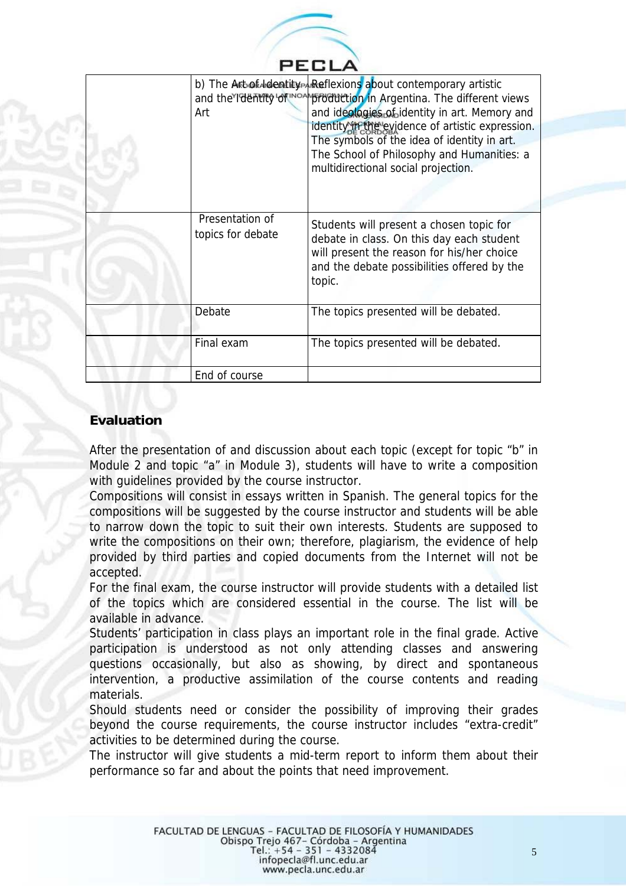

| Art                                  | b) The Art of Moentity AReflexions about contemporary artistic<br>and the Identity of more production in Argentina. The different views<br>and ideologies of identity in art. Memory and<br>identity in the evidence of artistic expression.<br>The symbols of the idea of identity in art.<br>The School of Philosophy and Humanities: a<br>multidirectional social projection. |
|--------------------------------------|----------------------------------------------------------------------------------------------------------------------------------------------------------------------------------------------------------------------------------------------------------------------------------------------------------------------------------------------------------------------------------|
| Presentation of<br>topics for debate | Students will present a chosen topic for<br>debate in class. On this day each student<br>will present the reason for his/her choice<br>and the debate possibilities offered by the<br>topic.                                                                                                                                                                                     |
| Debate                               | The topics presented will be debated.                                                                                                                                                                                                                                                                                                                                            |
| Final exam                           | The topics presented will be debated.                                                                                                                                                                                                                                                                                                                                            |
| End of course                        |                                                                                                                                                                                                                                                                                                                                                                                  |

# **Evaluation**

After the presentation of and discussion about each topic (except for topic "b" in Module 2 and topic "a" in Module 3), students will have to write a composition with guidelines provided by the course instructor.

Compositions will consist in essays written in Spanish. The general topics for the compositions will be suggested by the course instructor and students will be able to narrow down the topic to suit their own interests. Students are supposed to write the compositions on their own; therefore, plagiarism, the evidence of help provided by third parties and copied documents from the Internet will not be accepted.

For the final exam, the course instructor will provide students with a detailed list of the topics which are considered essential in the course. The list will be available in advance.

Students' participation in class plays an important role in the final grade. Active participation is understood as not only attending classes and answering questions occasionally, but also as showing, by direct and spontaneous intervention, a productive assimilation of the course contents and reading materials.

Should students need or consider the possibility of improving their grades beyond the course requirements, the course instructor includes "extra-credit" activities to be determined during the course.

The instructor will give students a mid-term report to inform them about their performance so far and about the points that need improvement.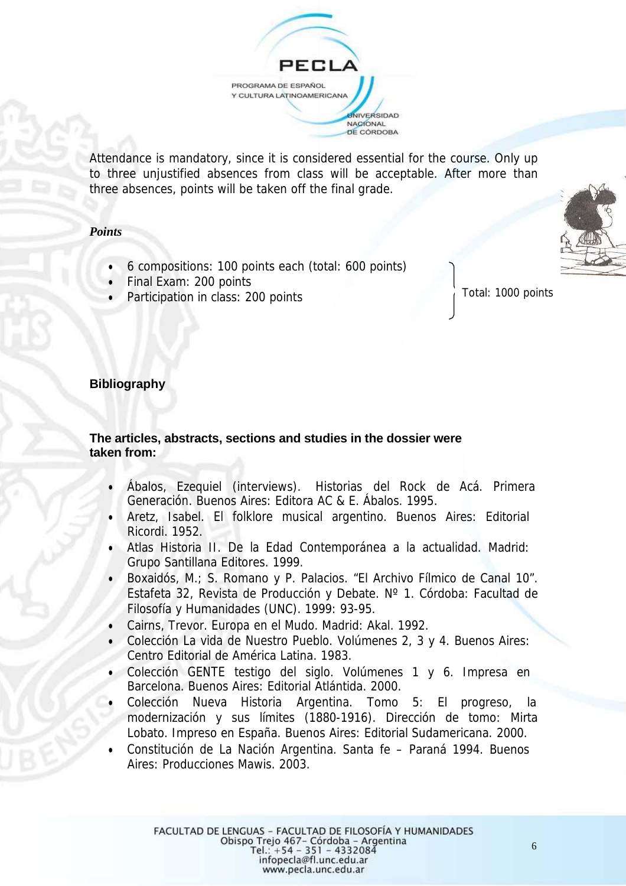

Attendance is mandatory, since it is considered essential for the course. Only up to three unjustified absences from class will be acceptable. After more than three absences, points will be taken off the final grade.

#### *Points*

- 6 compositions: 100 points each (total: 600 points)
- Final Exam: 200 points
- Participation in class: 200 points

Total: 1000 points

### **Bibliography**

## **The articles, abstracts, sections and studies in the dossier were taken from:**

- Ábalos, Ezequiel (interviews). Historias del Rock de Acá. Primera Generación. Buenos Aires: Editora AC & E. Ábalos. 1995.
- Aretz, Isabel. El folklore musical argentino. Buenos Aires: Editorial Ricordi. 1952.
- Atlas Historia II. De la Edad Contemporánea a la actualidad. Madrid: Grupo Santillana Editores. 1999.
- Boxaidós, M.; S. Romano y P. Palacios. "El Archivo Fílmico de Canal 10". Estafeta 32, Revista de Producción y Debate. Nº 1. Córdoba: Facultad de Filosofía y Humanidades (UNC). 1999: 93-95.
- Cairns, Trevor. Europa en el Mudo. Madrid: Akal. 1992.
- Colección La vida de Nuestro Pueblo. Volúmenes 2, 3 y 4. Buenos Aires: Centro Editorial de América Latina. 1983.
- Colección GENTE testigo del siglo. Volúmenes 1 y 6. Impresa en Barcelona. Buenos Aires: Editorial Atlántida. 2000.
- Colección Nueva Historia Argentina. Tomo 5: El progreso, la modernización y sus límites (1880-1916). Dirección de tomo: Mirta Lobato. Impreso en España. Buenos Aires: Editorial Sudamericana. 2000.
- Constitución de La Nación Argentina. Santa fe Paraná 1994. Buenos Aires: Producciones Mawis. 2003.